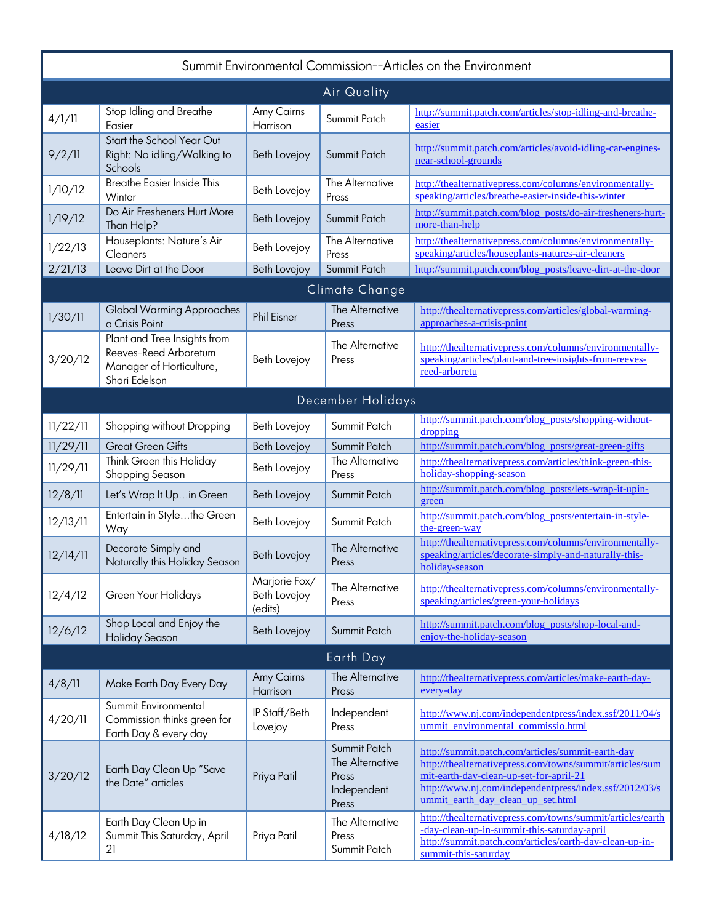| Summit Environmental Commission--Articles on the Environment |                                                                                                    |                                          |                                                                  |                                                                                                                                                                                                                                                         |  |
|--------------------------------------------------------------|----------------------------------------------------------------------------------------------------|------------------------------------------|------------------------------------------------------------------|---------------------------------------------------------------------------------------------------------------------------------------------------------------------------------------------------------------------------------------------------------|--|
| Air Quality                                                  |                                                                                                    |                                          |                                                                  |                                                                                                                                                                                                                                                         |  |
| 4/1/11                                                       | Stop Idling and Breathe<br>Easier                                                                  | Amy Cairns<br>Harrison                   | Summit Patch                                                     | http://summit.patch.com/articles/stop-idling-and-breathe-<br>easier                                                                                                                                                                                     |  |
| 9/2/11                                                       | Start the School Year Out<br>Right: No idling/Walking to<br>Schools                                | Beth Lovejoy                             | Summit Patch                                                     | http://summit.patch.com/articles/avoid-idling-car-engines-<br>near-school-grounds                                                                                                                                                                       |  |
| 1/10/12                                                      | <b>Breathe Easier Inside This</b><br>Winter                                                        | Beth Lovejoy                             | The Alternative<br>Press                                         | http://thealternativepress.com/columns/environmentally-<br>speaking/articles/breathe-easier-inside-this-winter                                                                                                                                          |  |
| 1/19/12                                                      | Do Air Fresheners Hurt More<br>Than Help?                                                          | <b>Beth Lovejoy</b>                      | Summit Patch                                                     | http://summit.patch.com/blog_posts/do-air-fresheners-hurt-<br>more-than-help                                                                                                                                                                            |  |
| 1/22/13                                                      | Houseplants: Nature's Air<br>Cleaners                                                              | Beth Lovejoy                             | The Alternative<br>Press                                         | http://thealternativepress.com/columns/environmentally-<br>speaking/articles/houseplants-natures-air-cleaners                                                                                                                                           |  |
| 2/21/13                                                      | Leave Dirt at the Door                                                                             | <b>Beth Lovejoy</b>                      | Summit Patch                                                     | http://summit.patch.com/blog_posts/leave-dirt-at-the-door                                                                                                                                                                                               |  |
|                                                              |                                                                                                    |                                          | Climate Change                                                   |                                                                                                                                                                                                                                                         |  |
| 1/30/11                                                      | <b>Global Warming Approaches</b><br>a Crisis Point                                                 | <b>Phil Eisner</b>                       | The Alternative<br>Press                                         | http://thealternativepress.com/articles/global-warming-<br>approaches-a-crisis-point                                                                                                                                                                    |  |
| 3/20/12                                                      | Plant and Tree Insights from<br>Reeves-Reed Arboretum<br>Manager of Horticulture,<br>Shari Edelson | Beth Lovejoy                             | The Alternative<br>Press                                         | http://thealternativepress.com/columns/environmentally-<br>speaking/articles/plant-and-tree-insights-from-reeves-<br>reed-arboretu                                                                                                                      |  |
|                                                              |                                                                                                    |                                          | December Holidays                                                |                                                                                                                                                                                                                                                         |  |
| 11/22/11                                                     | Shopping without Dropping                                                                          | Beth Lovejoy                             | Summit Patch                                                     | http://summit.patch.com/blog_posts/shopping-without-<br>dropping                                                                                                                                                                                        |  |
| 11/29/11                                                     | <b>Great Green Gifts</b>                                                                           | <b>Beth Lovejoy</b>                      | Summit Patch                                                     | http://summit.patch.com/blog_posts/great-green-gifts                                                                                                                                                                                                    |  |
| 11/29/11                                                     | Think Green this Holiday<br>Shopping Season                                                        | Beth Lovejoy                             | The Alternative<br>Press                                         | http://thealternativepress.com/articles/think-green-this-<br>holiday-shopping-season                                                                                                                                                                    |  |
| 12/8/11                                                      | Let's Wrap It Upin Green                                                                           | Beth Lovejoy                             | Summit Patch                                                     | http://summit.patch.com/blog_posts/lets-wrap-it-upin-<br>green                                                                                                                                                                                          |  |
| 12/13/11                                                     | Entertain in Stylethe Green<br>Way                                                                 | Beth Lovejoy                             | Summit Patch                                                     | http://summit.patch.com/blog_posts/entertain-in-style-<br>the-green-way                                                                                                                                                                                 |  |
| 12/14/11                                                     | Decorate Simply and<br>Naturally this Holiday Season                                               | <b>Beth Lovejoy</b>                      | The Alternative<br>Press                                         | http://thealternativepress.com/columns/environmentally-<br>speaking/articles/decorate-simply-and-naturally-this-<br>holiday-season                                                                                                                      |  |
| 12/4/12                                                      | Green Your Holidays                                                                                | Marjorie Fox/<br>Beth Lovejoy<br>(edits) | The Alternative<br>Press                                         | http://thealternativepress.com/columns/environmentally-<br>speaking/articles/green-your-holidays                                                                                                                                                        |  |
| 12/6/12                                                      | Shop Local and Enjoy the<br><b>Holiday Season</b>                                                  | Beth Lovejoy                             | Summit Patch                                                     | http://summit.patch.com/blog_posts/shop-local-and-<br>enjoy-the-holiday-season                                                                                                                                                                          |  |
|                                                              |                                                                                                    |                                          | Earth Day                                                        |                                                                                                                                                                                                                                                         |  |
| 4/8/11                                                       | Make Earth Day Every Day                                                                           | Amy Cairns<br>Harrison                   | The Alternative<br>Press                                         | http://thealternativepress.com/articles/make-earth-day-<br>every-day                                                                                                                                                                                    |  |
| 4/20/11                                                      | Summit Environmental<br>Commission thinks green for<br>Earth Day & every day                       | IP Staff/Beth<br>Lovejoy                 | Independent<br>Press                                             | http://www.nj.com/independentpress/index.ssf/2011/04/s<br>ummit_environmental_commissio.html                                                                                                                                                            |  |
| 3/20/12                                                      | Earth Day Clean Up "Save<br>the Date" articles                                                     | Priya Patil                              | Summit Patch<br>The Alternative<br>Press<br>Independent<br>Press | http://summit.patch.com/articles/summit-earth-day<br>http://thealternativepress.com/towns/summit/articles/sum<br>mit-earth-day-clean-up-set-for-april-21<br>http://www.nj.com/independentpress/index.ssf/2012/03/s<br>ummit earth day clean up set.html |  |
| 4/18/12                                                      | Earth Day Clean Up in<br>Summit This Saturday, April<br>21                                         | Priya Patil                              | The Alternative<br>Press<br>Summit Patch                         | http://thealternativepress.com/towns/summit/articles/earth<br>-day-clean-up-in-summit-this-saturday-april<br>http://summit.patch.com/articles/earth-day-clean-up-in-<br>summit-this-saturday                                                            |  |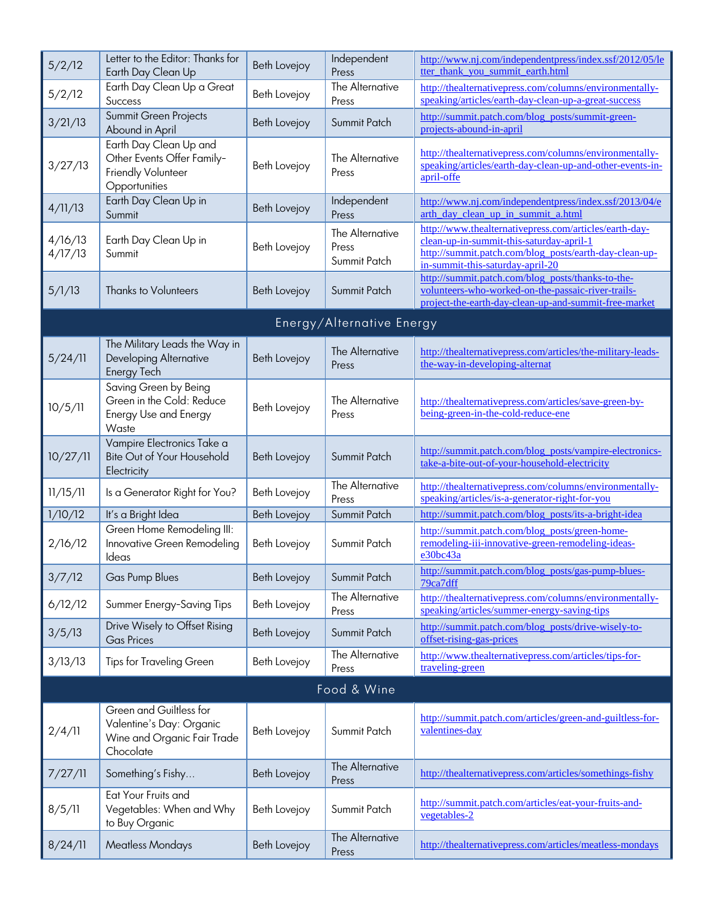| 5/2/12             | Letter to the Editor: Thanks for<br>Earth Day Clean Up                                          | Beth Lovejoy        | Independent<br>Press                     | http://www.nj.com/independentpress/index.ssf/2012/05/le<br>tter thank you summit earth.html                                                                                                      |  |  |
|--------------------|-------------------------------------------------------------------------------------------------|---------------------|------------------------------------------|--------------------------------------------------------------------------------------------------------------------------------------------------------------------------------------------------|--|--|
| 5/2/12             | Earth Day Clean Up a Great<br>Success                                                           | Beth Lovejoy        | The Alternative<br>Press                 | http://thealternativepress.com/columns/environmentally-<br>speaking/articles/earth-day-clean-up-a-great-success                                                                                  |  |  |
| 3/21/13            | Summit Green Projects<br>Abound in April                                                        | Beth Lovejoy        | Summit Patch                             | http://summit.patch.com/blog_posts/summit-green-<br>projects-abound-in-april                                                                                                                     |  |  |
| 3/27/13            | Earth Day Clean Up and<br>Other Events Offer Family-<br>Friendly Volunteer<br>Opportunities     | Beth Lovejoy        | The Alternative<br>Press                 | http://thealternativepress.com/columns/environmentally-<br>speaking/articles/earth-day-clean-up-and-other-events-in-<br>april-offe                                                               |  |  |
| 4/11/13            | Earth Day Clean Up in<br>Summit                                                                 | Beth Lovejoy        | Independent<br>Press                     | http://www.nj.com/independentpress/index.ssf/2013/04/e<br>arth day clean up in summit a.html                                                                                                     |  |  |
| 4/16/13<br>4/17/13 | Earth Day Clean Up in<br>Summit                                                                 | Beth Lovejoy        | The Alternative<br>Press<br>Summit Patch | http://www.thealternativepress.com/articles/earth-day-<br>clean-up-in-summit-this-saturday-april-1<br>http://summit.patch.com/blog_posts/earth-day-clean-up-<br>in-summit-this-saturday-april-20 |  |  |
| 5/1/13             | <b>Thanks to Volunteers</b>                                                                     | <b>Beth Lovejoy</b> | Summit Patch                             | http://summit.patch.com/blog_posts/thanks-to-the-<br>volunteers-who-worked-on-the-passaic-river-trails-<br>project-the-earth-day-clean-up-and-summit-free-market                                 |  |  |
|                    |                                                                                                 |                     | Energy/Alternative Energy                |                                                                                                                                                                                                  |  |  |
| 5/24/11            | The Military Leads the Way in<br>Developing Alternative<br>Energy Tech                          | <b>Beth Lovejoy</b> | The Alternative<br>Press                 | http://thealternativepress.com/articles/the-military-leads-<br>the-way-in-developing-alternat                                                                                                    |  |  |
| 10/5/11            | Saving Green by Being<br>Green in the Cold: Reduce<br><b>Energy Use and Energy</b><br>Waste     | Beth Lovejoy        | The Alternative<br>Press                 | http://thealternativepress.com/articles/save-green-by-<br>being-green-in-the-cold-reduce-ene                                                                                                     |  |  |
| 10/27/11           | Vampire Electronics Take a<br>Bite Out of Your Household<br>Electricity                         | Beth Lovejoy        | Summit Patch                             | http://summit.patch.com/blog_posts/vampire-electronics-<br>take-a-bite-out-of-your-household-electricity                                                                                         |  |  |
| 11/15/11           | Is a Generator Right for You?                                                                   | Beth Lovejoy        | The Alternative<br>Press                 | http://thealternativepress.com/columns/environmentally-<br>speaking/articles/is-a-generator-right-for-you                                                                                        |  |  |
| 1/10/12            | It's a Bright Idea                                                                              | Beth Lovejoy        | Summit Patch                             | http://summit.patch.com/blog_posts/its-a-bright-idea                                                                                                                                             |  |  |
| 2/16/12            | Green Home Remodeling III:<br>Innovative Green Remodeling<br>Ideas                              | Beth Lovejoy        | Summit Patch                             | http://summit.patch.com/blog_posts/green-home-<br>remodeling-iii-innovative-green-remodeling-ideas-<br>e30bc43a                                                                                  |  |  |
| 3/7/12             | Gas Pump Blues                                                                                  | Beth Lovejoy        | Summit Patch                             | http://summit.patch.com/blog_posts/gas-pump-blues-<br>79ca7dff                                                                                                                                   |  |  |
| 6/12/12            | Summer Energy-Saving Tips                                                                       | Beth Lovejoy        | The Alternative<br>Press                 | http://thealternativepress.com/columns/environmentally-<br>speaking/articles/summer-energy-saving-tips                                                                                           |  |  |
| 3/5/13             | Drive Wisely to Offset Rising<br><b>Gas Prices</b>                                              | Beth Lovejoy        | Summit Patch                             | http://summit.patch.com/blog_posts/drive-wisely-to-<br>offset-rising-gas-prices                                                                                                                  |  |  |
| 3/13/13            | <b>Tips for Traveling Green</b>                                                                 | Beth Lovejoy        | The Alternative<br>Press                 | http://www.thealternativepress.com/articles/tips-for-<br>traveling-green                                                                                                                         |  |  |
|                    | Food & Wine                                                                                     |                     |                                          |                                                                                                                                                                                                  |  |  |
| 2/4/11             | Green and Guiltless for<br>Valentine's Day: Organic<br>Wine and Organic Fair Trade<br>Chocolate | Beth Lovejoy        | Summit Patch                             | http://summit.patch.com/articles/green-and-guiltless-for-<br>valentines-day                                                                                                                      |  |  |
| 7/27/11            | Something's Fishy                                                                               | Beth Lovejoy        | The Alternative<br>Press                 | http://thealternativepress.com/articles/somethings-fishy                                                                                                                                         |  |  |
| 8/5/11             | Eat Your Fruits and<br>Vegetables: When and Why<br>to Buy Organic                               | Beth Lovejoy        | Summit Patch                             | http://summit.patch.com/articles/eat-your-fruits-and-<br>vegetables-2                                                                                                                            |  |  |
| 8/24/11            | <b>Meatless Mondays</b>                                                                         | Beth Lovejoy        | The Alternative<br>Press                 | http://thealternativepress.com/articles/meatless-mondays                                                                                                                                         |  |  |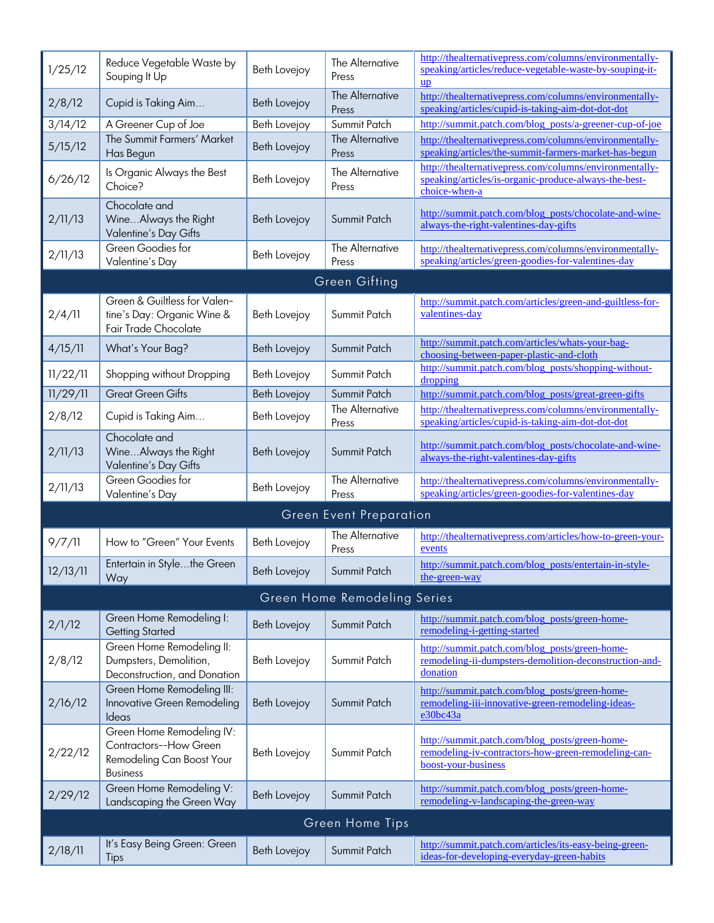| 1/25/12         | Reduce Vegetable Waste by<br>Souping It Up                                                          | Beth Lovejoy        | The Alternative<br>Press       | http://thealternativepress.com/columns/environmentally-<br>speaking/articles/reduce-vegetable-waste-by-souping-it-<br>up          |  |  |
|-----------------|-----------------------------------------------------------------------------------------------------|---------------------|--------------------------------|-----------------------------------------------------------------------------------------------------------------------------------|--|--|
| 2/8/12          | Cupid is Taking Aim                                                                                 | Beth Lovejoy        | The Alternative<br>Press       | http://thealternativepress.com/columns/environmentally-<br>speaking/articles/cupid-is-taking-aim-dot-dot-dot                      |  |  |
| 3/14/12         | A Greener Cup of Joe                                                                                | Beth Lovejoy        | Summit Patch                   | http://summit.patch.com/blog_posts/a-greener-cup-of-joe                                                                           |  |  |
| 5/15/12         | The Summit Farmers' Market<br>Has Begun                                                             | Beth Lovejoy        | The Alternative<br>Press       | http://thealternativepress.com/columns/environmentally-<br>speaking/articles/the-summit-farmers-market-has-begun                  |  |  |
| 6/26/12         | Is Organic Always the Best<br>Choice?                                                               | Beth Lovejoy        | The Alternative<br>Press       | http://thealternativepress.com/columns/environmentally-<br>speaking/articles/is-organic-produce-always-the-best-<br>choice-when-a |  |  |
| 2/11/13         | Chocolate and<br>WineAlways the Right<br>Valentine's Day Gifts                                      | Beth Lovejoy        | Summit Patch                   | http://summit.patch.com/blog_posts/chocolate-and-wine-<br>always-the-right-valentines-day-gifts                                   |  |  |
| 2/11/13         | Green Goodies for<br>Valentine's Day                                                                | Beth Lovejoy        | The Alternative<br>Press       | http://thealternativepress.com/columns/environmentally-<br>speaking/articles/green-goodies-for-valentines-day                     |  |  |
|                 |                                                                                                     |                     | Green Gifting                  |                                                                                                                                   |  |  |
| 2/4/11          | Green & Guiltless for Valen-<br>tine's Day: Organic Wine &<br>Fair Trade Chocolate                  | Beth Lovejoy        | Summit Patch                   | http://summit.patch.com/articles/green-and-guiltless-for-<br>valentines-day                                                       |  |  |
| 4/15/11         | What's Your Bag?                                                                                    | <b>Beth Lovejoy</b> | Summit Patch                   | http://summit.patch.com/articles/whats-your-bag-<br>choosing-between-paper-plastic-and-cloth                                      |  |  |
| 11/22/11        | Shopping without Dropping                                                                           | Beth Lovejoy        | Summit Patch                   | http://summit.patch.com/blog_posts/shopping-without-<br>dropping                                                                  |  |  |
| 11/29/11        | <b>Great Green Gifts</b>                                                                            | Beth Lovejoy        | Summit Patch                   | http://summit.patch.com/blog_posts/great-green-gifts                                                                              |  |  |
| 2/8/12          | Cupid is Taking Aim                                                                                 | Beth Lovejoy        | The Alternative<br>Press       | http://thealternativepress.com/columns/environmentally-<br>speaking/articles/cupid-is-taking-aim-dot-dot-dot                      |  |  |
| 2/11/13         | Chocolate and<br>WineAlways the Right<br>Valentine's Day Gifts                                      | Beth Lovejoy        | Summit Patch                   | http://summit.patch.com/blog_posts/chocolate-and-wine-<br>always-the-right-valentines-day-gifts                                   |  |  |
| 2/11/13         | Green Goodies for<br>Valentine's Day                                                                | Beth Lovejoy        | The Alternative<br>Press       | http://thealternativepress.com/columns/environmentally-<br>speaking/articles/green-goodies-for-valentines-day                     |  |  |
|                 |                                                                                                     |                     | <b>Green Event Preparation</b> |                                                                                                                                   |  |  |
| 9/7/11          | How to "Green" Your Events                                                                          | Beth Lovejoy        | The Alternative<br>Press       | http://thealternativepress.com/articles/how-to-green-your-<br>events                                                              |  |  |
| 12/13/11        | Entertain in Stylethe Green<br>Way                                                                  | Beth Lovejoy        | Summit Patch                   | http://summit.patch.com/blog_posts/entertain-in-style-<br>the-green-way                                                           |  |  |
|                 |                                                                                                     |                     | Green Home Remodeling Series   |                                                                                                                                   |  |  |
| 2/1/12          | Green Home Remodeling I:<br><b>Getting Started</b>                                                  | Beth Lovejoy        | Summit Patch                   | http://summit.patch.com/blog_posts/green-home-<br>remodeling-i-getting-started                                                    |  |  |
| 2/8/12          | Green Home Remodeling II:<br>Dumpsters, Demolition,<br>Deconstruction, and Donation                 | Beth Lovejoy        | Summit Patch                   | http://summit.patch.com/blog_posts/green-home-<br>remodeling-ii-dumpsters-demolition-deconstruction-and-<br>donation              |  |  |
| 2/16/12         | Green Home Remodeling III:<br>Innovative Green Remodeling<br>Ideas                                  | Beth Lovejoy        | Summit Patch                   | http://summit.patch.com/blog_posts/green-home-<br>remodeling-iii-innovative-green-remodeling-ideas-<br>e30bc43a                   |  |  |
| 2/22/12         | Green Home Remodeling IV:<br>Contractors--How Green<br>Remodeling Can Boost Your<br><b>Business</b> | Beth Lovejoy        | Summit Patch                   | http://summit.patch.com/blog_posts/green-home-<br>remodeling-iv-contractors-how-green-remodeling-can-<br>boost-your-business      |  |  |
| 2/29/12         | Green Home Remodeling V:<br>Landscaping the Green Way                                               | Beth Lovejoy        | Summit Patch                   | http://summit.patch.com/blog_posts/green-home-<br>remodeling-v-landscaping-the-green-way                                          |  |  |
| Green Home Tips |                                                                                                     |                     |                                |                                                                                                                                   |  |  |
| 2/18/11         | It's Easy Being Green: Green<br>Tips                                                                | <b>Beth Lovejoy</b> | Summit Patch                   | http://summit.patch.com/articles/its-easy-being-green-<br>ideas-for-developing-everyday-green-habits                              |  |  |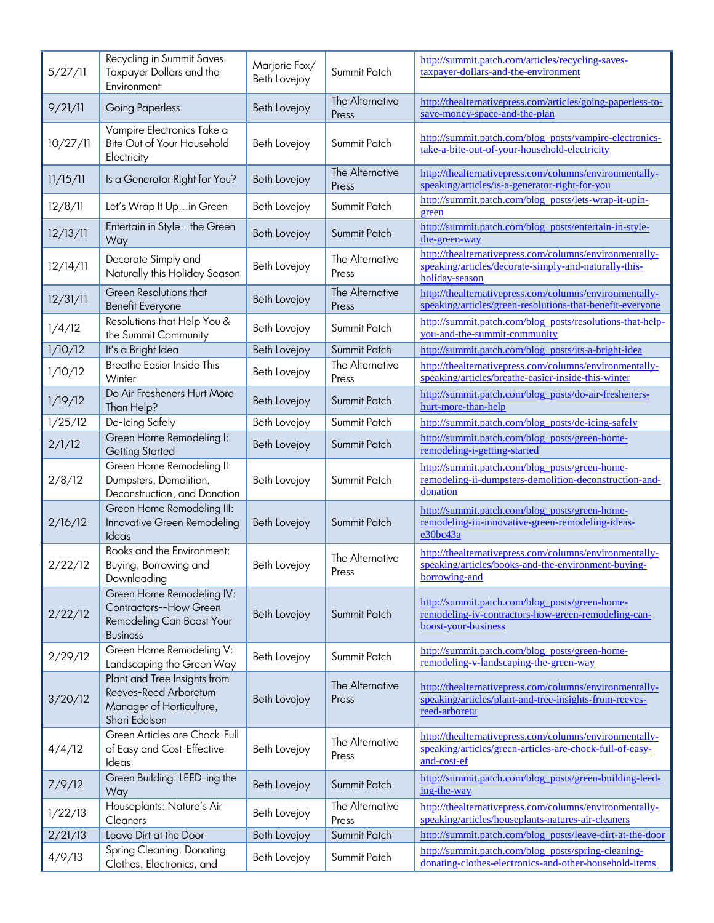| 5/27/11  | Recycling in Summit Saves<br>Taxpayer Dollars and the<br>Environment                                | Marjorie Fox/<br>Beth Lovejoy | Summit Patch             | http://summit.patch.com/articles/recycling-saves-<br>taxpayer-dollars-and-the-environment                                          |
|----------|-----------------------------------------------------------------------------------------------------|-------------------------------|--------------------------|------------------------------------------------------------------------------------------------------------------------------------|
| 9/21/11  | <b>Going Paperless</b>                                                                              | Beth Lovejoy                  | The Alternative<br>Press | http://thealternativepress.com/articles/going-paperless-to-<br>save-money-space-and-the-plan                                       |
| 10/27/11 | Vampire Electronics Take a<br>Bite Out of Your Household<br>Electricity                             | Beth Lovejoy                  | Summit Patch             | http://summit.patch.com/blog_posts/vampire-electronics-<br>take-a-bite-out-of-your-household-electricity                           |
| 11/15/11 | Is a Generator Right for You?                                                                       | <b>Beth Lovejoy</b>           | The Alternative<br>Press | http://thealternativepress.com/columns/environmentally-<br>speaking/articles/is-a-generator-right-for-you                          |
| 12/8/11  | Let's Wrap It Upin Green                                                                            | Beth Lovejoy                  | Summit Patch             | http://summit.patch.com/blog_posts/lets-wrap-it-upin-<br>green                                                                     |
| 12/13/11 | Entertain in Stylethe Green<br>Way                                                                  | Beth Lovejoy                  | Summit Patch             | http://summit.patch.com/blog_posts/entertain-in-style-<br>the-green-way                                                            |
| 12/14/11 | Decorate Simply and<br>Naturally this Holiday Season                                                | Beth Lovejoy                  | The Alternative<br>Press | http://thealternativepress.com/columns/environmentally-<br>speaking/articles/decorate-simply-and-naturally-this-<br>holiday-season |
| 12/31/11 | Green Resolutions that<br><b>Benefit Everyone</b>                                                   | Beth Lovejoy                  | The Alternative<br>Press | http://thealternativepress.com/columns/environmentally-<br>speaking/articles/green-resolutions-that-benefit-everyone               |
| 1/4/12   | Resolutions that Help You &<br>the Summit Community                                                 | Beth Lovejoy                  | Summit Patch             | http://summit.patch.com/blog_posts/resolutions-that-help-<br>you-and-the-summit-community                                          |
| 1/10/12  | It's a Bright Idea                                                                                  | <b>Beth Lovejoy</b>           | Summit Patch             | http://summit.patch.com/blog_posts/its-a-bright-idea                                                                               |
| 1/10/12  | <b>Breathe Easier Inside This</b><br>Winter                                                         | Beth Lovejoy                  | The Alternative<br>Press | http://thealternativepress.com/columns/environmentally-<br>speaking/articles/breathe-easier-inside-this-winter                     |
| 1/19/12  | Do Air Fresheners Hurt More<br>Than Help?                                                           | <b>Beth Lovejoy</b>           | Summit Patch             | http://summit.patch.com/blog_posts/do-air-fresheners-<br>hurt-more-than-help                                                       |
| 1/25/12  | De-Icing Safely                                                                                     | Beth Lovejoy                  | Summit Patch             | http://summit.patch.com/blog_posts/de-icing-safely                                                                                 |
| 2/1/12   | Green Home Remodeling I:<br><b>Getting Started</b>                                                  | Beth Lovejoy                  | Summit Patch             | http://summit.patch.com/blog_posts/green-home-<br>remodeling-i-getting-started                                                     |
| 2/8/12   | Green Home Remodeling II:<br>Dumpsters, Demolition,<br>Deconstruction, and Donation                 | Beth Lovejoy                  | Summit Patch             | http://summit.patch.com/blog_posts/green-home-<br>remodeling-ii-dumpsters-demolition-deconstruction-and-<br>donation               |
| 2/16/12  | Green Home Remodeling III:<br>Innovative Green Remodeling<br>Ideas                                  | <b>Beth Lovejoy</b>           | Summit Patch             | http://summit.patch.com/blog_posts/green-home-<br>remodeling-iii-innovative-green-remodeling-ideas-<br>e30bc43a                    |
| 2/22/12  | Books and the Environment:<br>Buying, Borrowing and<br>Downloading                                  | Beth Lovejoy                  | The Alternative<br>Press | http://thealternativepress.com/columns/environmentally-<br>speaking/articles/books-and-the-environment-buying-<br>borrowing-and    |
| 2/22/12  | Green Home Remodeling IV:<br>Contractors--How Green<br>Remodeling Can Boost Your<br><b>Business</b> | Beth Lovejoy                  | Summit Patch             | http://summit.patch.com/blog_posts/green-home-<br>remodeling-iv-contractors-how-green-remodeling-can-<br>boost-your-business       |
| 2/29/12  | Green Home Remodeling V:<br>Landscaping the Green Way                                               | Beth Lovejoy                  | Summit Patch             | http://summit.patch.com/blog_posts/green-home-<br>remodeling-v-landscaping-the-green-way                                           |
| 3/20/12  | Plant and Tree Insights from<br>Reeves-Reed Arboretum<br>Manager of Horticulture,<br>Shari Edelson  | Beth Lovejoy                  | The Alternative<br>Press | http://thealternativepress.com/columns/environmentally-<br>speaking/articles/plant-and-tree-insights-from-reeves-<br>reed-arboretu |
| 4/4/12   | Green Articles are Chock-Full<br>of Easy and Cost-Effective<br>Ideas                                | Beth Lovejoy                  | The Alternative<br>Press | http://thealternativepress.com/columns/environmentally-<br>speaking/articles/green-articles-are-chock-full-of-easy-<br>and-cost-ef |
| 7/9/12   | Green Building: LEED-ing the<br>Way                                                                 | Beth Lovejoy                  | Summit Patch             | http://summit.patch.com/blog_posts/green-building-leed-<br>ing-the-way                                                             |
| 1/22/13  | Houseplants: Nature's Air<br>Cleaners                                                               | Beth Lovejoy                  | The Alternative<br>Press | http://thealternativepress.com/columns/environmentally-<br>speaking/articles/houseplants-natures-air-cleaners                      |
| 2/21/13  | Leave Dirt at the Door                                                                              | <b>Beth Lovejoy</b>           | Summit Patch             | http://summit.patch.com/blog_posts/leave-dirt-at-the-door                                                                          |
| 4/9/13   | <b>Spring Cleaning: Donating</b><br>Clothes, Electronics, and                                       | Beth Lovejoy                  | Summit Patch             | http://summit.patch.com/blog_posts/spring-cleaning-<br>donating-clothes-electronics-and-other-household-items                      |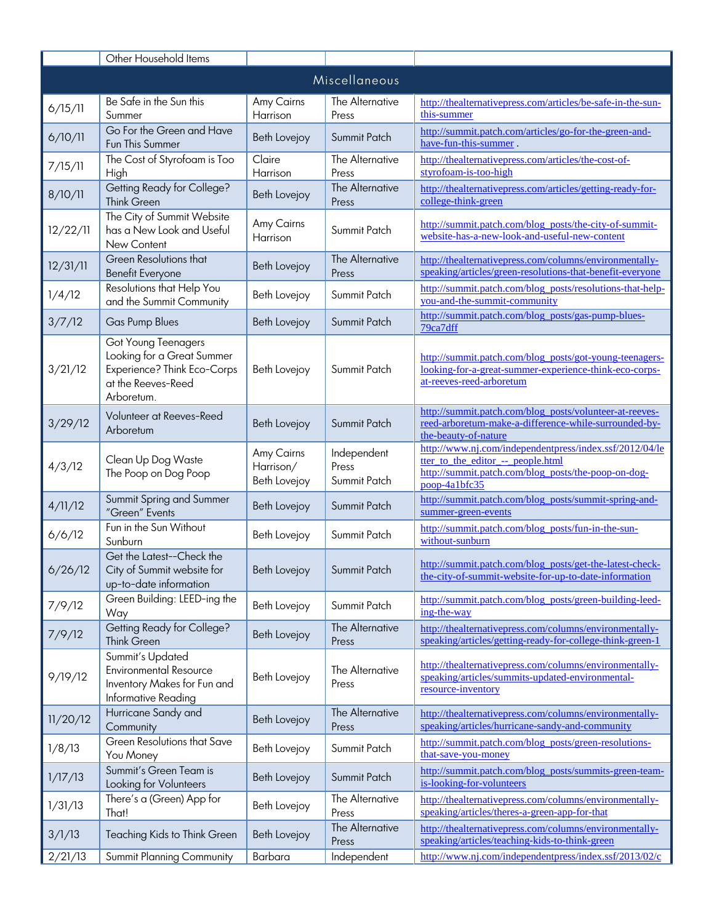|               | Other Household Items                                                                                                |                                                |                                      |                                                                                                                                                                      |  |
|---------------|----------------------------------------------------------------------------------------------------------------------|------------------------------------------------|--------------------------------------|----------------------------------------------------------------------------------------------------------------------------------------------------------------------|--|
| Miscellaneous |                                                                                                                      |                                                |                                      |                                                                                                                                                                      |  |
| 6/15/11       | Be Safe in the Sun this<br>Summer                                                                                    | Amy Cairns<br>Harrison                         | The Alternative<br>Press             | http://thealternativepress.com/articles/be-safe-in-the-sun-<br>this-summer                                                                                           |  |
| 6/10/11       | Go For the Green and Have<br>Fun This Summer                                                                         | Beth Lovejoy                                   | Summit Patch                         | http://summit.patch.com/articles/go-for-the-green-and-<br>have-fun-this-summer.                                                                                      |  |
| 7/15/11       | The Cost of Styrofoam is Too<br>High                                                                                 | Claire<br>Harrison                             | The Alternative<br>Press             | http://thealternativepress.com/articles/the-cost-of-<br>styrofoam-is-too-high                                                                                        |  |
| 8/10/11       | Getting Ready for College?<br><b>Think Green</b>                                                                     | Beth Lovejoy                                   | The Alternative<br>Press             | http://thealternativepress.com/articles/getting-ready-for-<br>college-think-green                                                                                    |  |
| 12/22/11      | The City of Summit Website<br>has a New Look and Useful<br>New Content                                               | Amy Cairns<br>Harrison                         | Summit Patch                         | http://summit.patch.com/blog_posts/the-city-of-summit-<br>website-has-a-new-look-and-useful-new-content                                                              |  |
| 12/31/11      | Green Resolutions that<br><b>Benefit Everyone</b>                                                                    | Beth Lovejoy                                   | The Alternative<br>Press             | http://thealternativepress.com/columns/environmentally-<br>speaking/articles/green-resolutions-that-benefit-everyone                                                 |  |
| 1/4/12        | Resolutions that Help You<br>and the Summit Community                                                                | Beth Lovejoy                                   | Summit Patch                         | http://summit.patch.com/blog_posts/resolutions-that-help-<br>you-and-the-summit-community                                                                            |  |
| 3/7/12        | Gas Pump Blues                                                                                                       | <b>Beth Lovejoy</b>                            | Summit Patch                         | http://summit.patch.com/blog_posts/gas-pump-blues-<br>79ca7dff                                                                                                       |  |
| 3/21/12       | Got Young Teenagers<br>Looking for a Great Summer<br>Experience? Think Eco-Corps<br>at the Reeves-Reed<br>Arboretum. | Beth Lovejoy                                   | Summit Patch                         | http://summit.patch.com/blog_posts/got-young-teenagers-<br>looking-for-a-great-summer-experience-think-eco-corps-<br>at-reeves-reed-arboretum                        |  |
| 3/29/12       | Volunteer at Reeves-Reed<br>Arboretum                                                                                | Beth Lovejoy                                   | Summit Patch                         | http://summit.patch.com/blog_posts/volunteer-at-reeves-<br>reed-arboretum-make-a-difference-while-surrounded-by-<br>the-beauty-of-nature                             |  |
| 4/3/12        | Clean Up Dog Waste<br>The Poop on Dog Poop                                                                           | Amy Cairns<br>Harrison/<br><b>Beth Lovejoy</b> | Independent<br>Press<br>Summit Patch | http://www.nj.com/independentpress/index.ssf/2012/04/le<br>tter to the editor -- people.html<br>http://summit.patch.com/blog_posts/the-poop-on-dog-<br>poop-4a1bfc35 |  |
| 4/11/12       | Summit Spring and Summer<br>"Green" Events                                                                           | <b>Beth Lovejoy</b>                            | Summit Patch                         | http://summit.patch.com/blog_posts/summit-spring-and-<br>summer-green-events                                                                                         |  |
| 6/6/12        | Fun in the Sun Without<br>Sunburn                                                                                    | Beth Lovejoy                                   | Summit Patch                         | http://summit.patch.com/blog_posts/fun-in-the-sun-<br>without-sunburn                                                                                                |  |
| 6/26/12       | Get the Latest--Check the<br>City of Summit website for<br>up-to-date information                                    | Beth Lovejoy   Summit Patch                    |                                      | http://summit.patch.com/blog_posts/get-the-latest-check-<br>the-city-of-summit-website-for-up-to-date-information                                                    |  |
| 7/9/12        | Green Building: LEED-ing the<br>Way                                                                                  | Beth Lovejoy                                   | Summit Patch                         | http://summit.patch.com/blog_posts/green-building-leed-<br>ing-the-way                                                                                               |  |
| 7/9/12        | Getting Ready for College?<br>Think Green                                                                            | Beth Lovejoy                                   | The Alternative<br>Press             | http://thealternativepress.com/columns/environmentally-<br>speaking/articles/getting-ready-for-college-think-green-1                                                 |  |
| 9/19/12       | Summit's Updated<br><b>Environmental Resource</b><br>Inventory Makes for Fun and<br>Informative Reading              | Beth Lovejoy                                   | The Alternative<br>Press             | http://thealternativepress.com/columns/environmentally-<br>speaking/articles/summits-updated-environmental-<br>resource-inventory                                    |  |
| 11/20/12      | Hurricane Sandy and<br>Community                                                                                     | Beth Lovejoy                                   | The Alternative<br>Press             | http://thealternativepress.com/columns/environmentally-<br>speaking/articles/hurricane-sandy-and-community                                                           |  |
| 1/8/13        | Green Resolutions that Save<br>You Money                                                                             | Beth Lovejoy                                   | Summit Patch                         | http://summit.patch.com/blog_posts/green-resolutions-<br>that-save-you-money                                                                                         |  |
| 1/17/13       | Summit's Green Team is<br>Looking for Volunteers                                                                     | Beth Lovejoy                                   | Summit Patch                         | http://summit.patch.com/blog_posts/summits-green-team-<br>is-looking-for-volunteers                                                                                  |  |
| 1/31/13       | There's a (Green) App for<br>That!                                                                                   | Beth Lovejoy                                   | The Alternative<br>Press             | http://thealternativepress.com/columns/environmentally-<br>speaking/articles/theres-a-green-app-for-that                                                             |  |
| 3/1/13        | Teaching Kids to Think Green                                                                                         | Beth Lovejoy                                   | The Alternative<br>Press             | http://thealternativepress.com/columns/environmentally-<br>speaking/articles/teaching-kids-to-think-green                                                            |  |
| 2/21/13       | Summit Planning Community                                                                                            | Barbara                                        | Independent                          | http://www.nj.com/independentpress/index.ssf/2013/02/c                                                                                                               |  |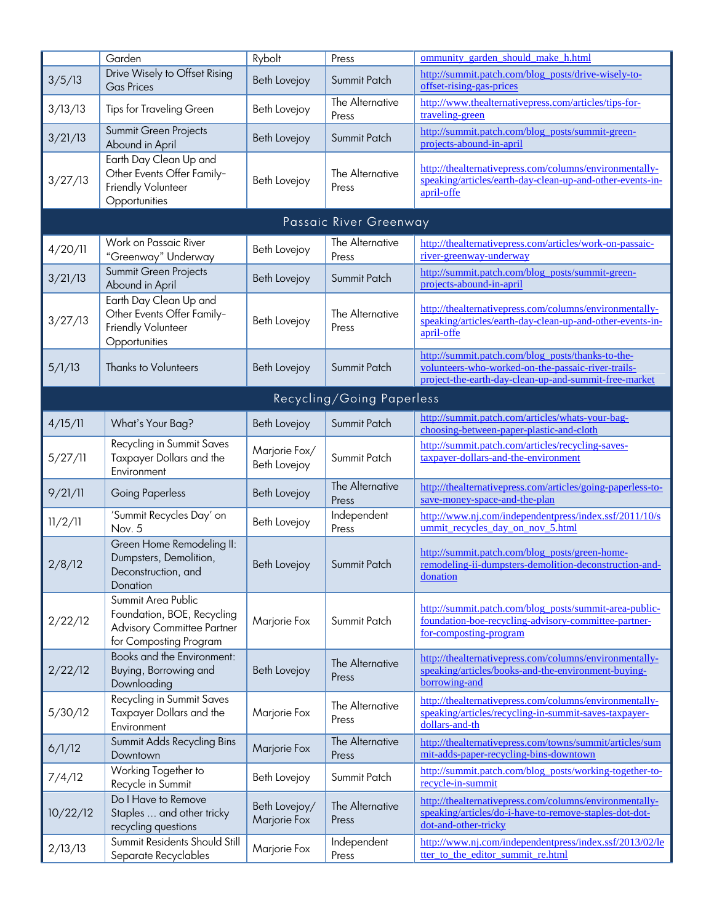|          | Garden                                                                                                          | Rybolt                        | Press                     | ommunity garden should make h.html                                                                                                                               |
|----------|-----------------------------------------------------------------------------------------------------------------|-------------------------------|---------------------------|------------------------------------------------------------------------------------------------------------------------------------------------------------------|
| 3/5/13   | Drive Wisely to Offset Rising<br><b>Gas Prices</b>                                                              | Beth Lovejoy                  | Summit Patch              | http://summit.patch.com/blog_posts/drive-wisely-to-<br>offset-rising-gas-prices                                                                                  |
| 3/13/13  | <b>Tips for Traveling Green</b>                                                                                 | Beth Lovejoy                  | The Alternative<br>Press  | http://www.thealternativepress.com/articles/tips-for-<br>traveling-green                                                                                         |
| 3/21/13  | Summit Green Projects<br>Abound in April                                                                        | Beth Lovejoy                  | Summit Patch              | http://summit.patch.com/blog_posts/summit-green-<br>projects-abound-in-april                                                                                     |
| 3/27/13  | Earth Day Clean Up and<br>Other Events Offer Family-<br>Friendly Volunteer<br>Opportunities                     | Beth Lovejoy                  | The Alternative<br>Press  | http://thealternativepress.com/columns/environmentally-<br>speaking/articles/earth-day-clean-up-and-other-events-in-<br>april-offe                               |
|          |                                                                                                                 |                               | Passaic River Greenway    |                                                                                                                                                                  |
| 4/20/11  | Work on Passaic River<br>"Greenway" Underway                                                                    | Beth Lovejoy                  | The Alternative<br>Press  | http://thealternativepress.com/articles/work-on-passaic-<br>river-greenway-underway                                                                              |
| 3/21/13  | Summit Green Projects<br>Abound in April                                                                        | Beth Lovejoy                  | Summit Patch              | http://summit.patch.com/blog_posts/summit-green-<br>projects-abound-in-april                                                                                     |
| 3/27/13  | Earth Day Clean Up and<br>Other Events Offer Family-<br>Friendly Volunteer<br>Opportunities                     | Beth Lovejoy                  | The Alternative<br>Press  | http://thealternativepress.com/columns/environmentally-<br>speaking/articles/earth-day-clean-up-and-other-events-in-<br>april-offe                               |
| 5/1/13   | <b>Thanks to Volunteers</b>                                                                                     | <b>Beth Lovejoy</b>           | Summit Patch              | http://summit.patch.com/blog_posts/thanks-to-the-<br>volunteers-who-worked-on-the-passaic-river-trails-<br>project-the-earth-day-clean-up-and-summit-free-market |
|          |                                                                                                                 |                               | Recycling/Going Paperless |                                                                                                                                                                  |
| 4/15/11  | What's Your Bag?                                                                                                | Beth Lovejoy                  | Summit Patch              | http://summit.patch.com/articles/whats-your-bag-<br>choosing-between-paper-plastic-and-cloth                                                                     |
| 5/27/11  | Recycling in Summit Saves<br>Taxpayer Dollars and the<br>Environment                                            | Marjorie Fox/<br>Beth Lovejoy | Summit Patch              | http://summit.patch.com/articles/recycling-saves-<br>taxpayer-dollars-and-the-environment                                                                        |
| 9/21/11  | <b>Going Paperless</b>                                                                                          | Beth Lovejoy                  | The Alternative<br>Press  | http://thealternativepress.com/articles/going-paperless-to-<br>save-money-space-and-the-plan                                                                     |
| 11/2/11  | 'Summit Recycles Day' on<br>Nov. 5                                                                              | Beth Lovejoy                  | Independent<br>Press      | http://www.nj.com/independentpress/index.ssf/2011/10/s<br>ummit_recycles_day_on_nov_5.html                                                                       |
| 2/8/12   | Green Home Remodeling II:<br>Dumpsters, Demolition,<br>Deconstruction, and<br>Donation                          | Beth Lovejoy                  | Summit Patch              | http://summit.patch.com/blog_posts/green-home-<br>remodeling-ii-dumpsters-demolition-deconstruction-and-<br>donation                                             |
| 2/22/12  | Summit Area Public<br>Foundation, BOE, Recycling<br><b>Advisory Committee Partner</b><br>for Composting Program | Marjorie Fox                  | Summit Patch              | http://summit.patch.com/blog_posts/summit-area-public-<br>foundation-boe-recycling-advisory-committee-partner-<br>for-composting-program                         |
| 2/22/12  | Books and the Environment:<br>Buying, Borrowing and<br>Downloading                                              | Beth Lovejoy                  | The Alternative<br>Press  | http://thealternativepress.com/columns/environmentally-<br>speaking/articles/books-and-the-environment-buying-<br>borrowing-and                                  |
| 5/30/12  | Recycling in Summit Saves<br>Taxpayer Dollars and the<br>Environment                                            | Marjorie Fox                  | The Alternative<br>Press  | http://thealternativepress.com/columns/environmentally-<br>speaking/articles/recycling-in-summit-saves-taxpayer-<br>dollars-and-th                               |
| 6/1/12   | Summit Adds Recycling Bins<br>Downtown                                                                          | Marjorie Fox                  | The Alternative<br>Press  | http://thealternativepress.com/towns/summit/articles/sum<br>mit-adds-paper-recycling-bins-downtown                                                               |
| 7/4/12   | Working Together to<br>Recycle in Summit                                                                        | Beth Lovejoy                  | Summit Patch              | http://summit.patch.com/blog_posts/working-together-to-<br>recycle-in-summit                                                                                     |
| 10/22/12 | Do I Have to Remove<br>Staples  and other tricky<br>recycling questions                                         | Beth Lovejoy/<br>Marjorie Fox | The Alternative<br>Press  | http://thealternativepress.com/columns/environmentally-<br>speaking/articles/do-i-have-to-remove-staples-dot-dot-<br>dot-and-other-tricky                        |
| 2/13/13  | Summit Residents Should Still<br>Separate Recyclables                                                           | Marjorie Fox                  | Independent<br>Press      | http://www.nj.com/independentpress/index.ssf/2013/02/le<br>tter to the editor summit re.html                                                                     |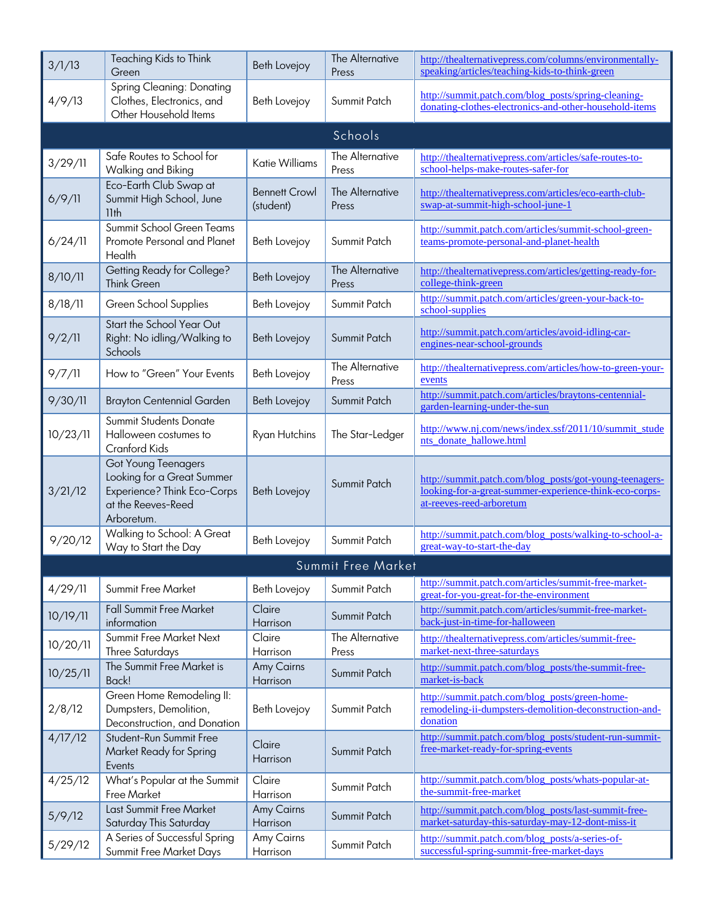| 3/1/13   | Teaching Kids to Think<br>Green                                                                                             | <b>Beth Lovejoy</b>               | The Alternative<br>Press | http://thealternativepress.com/columns/environmentally-<br>speaking/articles/teaching-kids-to-think-green                                     |  |  |
|----------|-----------------------------------------------------------------------------------------------------------------------------|-----------------------------------|--------------------------|-----------------------------------------------------------------------------------------------------------------------------------------------|--|--|
| 4/9/13   | Spring Cleaning: Donating<br>Clothes, Electronics, and<br>Other Household Items                                             | Beth Lovejoy                      | Summit Patch             | http://summit.patch.com/blog_posts/spring-cleaning-<br>donating-clothes-electronics-and-other-household-items                                 |  |  |
| Schools  |                                                                                                                             |                                   |                          |                                                                                                                                               |  |  |
| 3/29/11  | Safe Routes to School for<br>Walking and Biking                                                                             | <b>Katie Williams</b>             | The Alternative<br>Press | http://thealternativepress.com/articles/safe-routes-to-<br>school-helps-make-routes-safer-for                                                 |  |  |
| 6/9/11   | Eco-Earth Club Swap at<br>Summit High School, June<br>11 <sub>th</sub>                                                      | <b>Bennett Crowl</b><br>(student) | The Alternative<br>Press | http://thealternativepress.com/articles/eco-earth-club-<br>swap-at-summit-high-school-june-1                                                  |  |  |
| 6/24/11  | Summit School Green Teams<br>Promote Personal and Planet<br>Health                                                          | Beth Lovejoy                      | Summit Patch             | http://summit.patch.com/articles/summit-school-green-<br>teams-promote-personal-and-planet-health                                             |  |  |
| 8/10/11  | Getting Ready for College?<br>Think Green                                                                                   | <b>Beth Lovejoy</b>               | The Alternative<br>Press | http://thealternativepress.com/articles/getting-ready-for-<br>college-think-green                                                             |  |  |
| 8/18/11  | Green School Supplies                                                                                                       | Beth Lovejoy                      | Summit Patch             | http://summit.patch.com/articles/green-your-back-to-<br>school-supplies                                                                       |  |  |
| 9/2/11   | Start the School Year Out<br>Right: No idling/Walking to<br>Schools                                                         | <b>Beth Lovejoy</b>               | Summit Patch             | http://summit.patch.com/articles/avoid-idling-car-<br>engines-near-school-grounds                                                             |  |  |
| 9/7/11   | How to "Green" Your Events                                                                                                  | Beth Lovejoy                      | The Alternative<br>Press | http://thealternativepress.com/articles/how-to-green-your-<br>events                                                                          |  |  |
| 9/30/11  | <b>Brayton Centennial Garden</b>                                                                                            | <b>Beth Lovejoy</b>               | Summit Patch             | http://summit.patch.com/articles/braytons-centennial-<br>garden-learning-under-the-sun                                                        |  |  |
| 10/23/11 | <b>Summit Students Donate</b><br>Halloween costumes to<br>Cranford Kids                                                     | Ryan Hutchins                     | The Star-Ledger          | http://www.nj.com/news/index.ssf/2011/10/summit_stude<br>nts_donate_hallowe.html                                                              |  |  |
| 3/21/12  | <b>Got Young Teenagers</b><br>Looking for a Great Summer<br>Experience? Think Eco-Corps<br>at the Reeves-Reed<br>Arboretum. | <b>Beth Lovejoy</b>               | Summit Patch             | http://summit.patch.com/blog_posts/got-young-teenagers-<br>looking-for-a-great-summer-experience-think-eco-corps-<br>at-reeves-reed-arboretum |  |  |
| 9/20/12  | Walking to School: A Great<br>Way to Start the Day                                                                          | Beth Lovejoy                      | Summit Patch             | http://summit.patch.com/blog_posts/walking-to-school-a-<br>great-way-to-start-the-day                                                         |  |  |
|          |                                                                                                                             |                                   | Summit Free Market       |                                                                                                                                               |  |  |
| 4/29/11  | Summit Free Market                                                                                                          | Beth Lovejoy                      | Summit Patch             | http://summit.patch.com/articles/summit-free-market-<br>great-for-you-great-for-the-environment                                               |  |  |
| 10/19/11 | <b>Fall Summit Free Market</b><br>information                                                                               | Claire<br>Harrison                | Summit Patch             | http://summit.patch.com/articles/summit-free-market-<br>back-just-in-time-for-halloween                                                       |  |  |
| 10/20/11 | Summit Free Market Next<br><b>Three Saturdays</b>                                                                           | Claire<br>Harrison                | The Alternative<br>Press | http://thealternativepress.com/articles/summit-free-<br>market-next-three-saturdays                                                           |  |  |
| 10/25/11 | The Summit Free Market is<br>Back!                                                                                          | <b>Amy Cairns</b><br>Harrison     | Summit Patch             | http://summit.patch.com/blog_posts/the-summit-free-<br>market-is-back                                                                         |  |  |
| 2/8/12   | Green Home Remodeling II:<br>Dumpsters, Demolition,<br>Deconstruction, and Donation                                         | Beth Lovejoy                      | Summit Patch             | http://summit.patch.com/blog_posts/green-home-<br>remodeling-ii-dumpsters-demolition-deconstruction-and-<br>donation                          |  |  |
| 4/17/12  | Student-Run Summit Free<br>Market Ready for Spring<br>Events                                                                | Claire<br>Harrison                | Summit Patch             | http://summit.patch.com/blog_posts/student-run-summit-<br>free-market-ready-for-spring-events                                                 |  |  |
| 4/25/12  | What's Popular at the Summit<br>Free Market                                                                                 | Claire<br>Harrison                | Summit Patch             | http://summit.patch.com/blog_posts/whats-popular-at-<br>the-summit-free-market                                                                |  |  |
| 5/9/12   | Last Summit Free Market<br>Saturday This Saturday                                                                           | Amy Cairns<br>Harrison            | Summit Patch             | http://summit.patch.com/blog_posts/last-summit-free-<br>market-saturday-this-saturday-may-12-dont-miss-it                                     |  |  |
| 5/29/12  | A Series of Successful Spring<br>Summit Free Market Days                                                                    | Amy Cairns<br>Harrison            | Summit Patch             | http://summit.patch.com/blog_posts/a-series-of-<br>successful-spring-summit-free-market-days                                                  |  |  |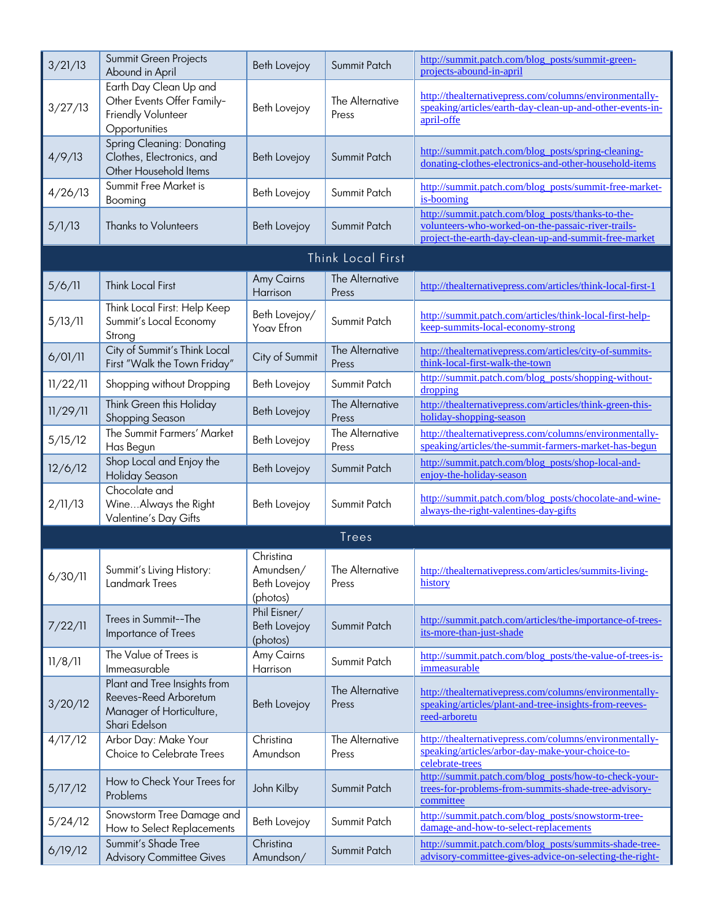| 3/21/13  | Summit Green Projects<br>Abound in April                                                           | Beth Lovejoy                                       | Summit Patch             | http://summit.patch.com/blog_posts/summit-green-<br>projects-abound-in-april                                                                                     |
|----------|----------------------------------------------------------------------------------------------------|----------------------------------------------------|--------------------------|------------------------------------------------------------------------------------------------------------------------------------------------------------------|
| 3/27/13  | Earth Day Clean Up and<br>Other Events Offer Family-<br>Friendly Volunteer<br>Opportunities        | Beth Lovejoy                                       | The Alternative<br>Press | http://thealternativepress.com/columns/environmentally-<br>speaking/articles/earth-day-clean-up-and-other-events-in-<br>april-offe                               |
| 4/9/13   | <b>Spring Cleaning: Donating</b><br>Clothes, Electronics, and<br>Other Household Items             | Beth Lovejoy                                       | Summit Patch             | http://summit.patch.com/blog_posts/spring-cleaning-<br>donating-clothes-electronics-and-other-household-items                                                    |
| 4/26/13  | Summit Free Market is<br>Booming                                                                   | Beth Lovejoy                                       | Summit Patch             | http://summit.patch.com/blog_posts/summit-free-market-<br>is-booming                                                                                             |
| 5/1/13   | <b>Thanks to Volunteers</b>                                                                        | Beth Lovejoy                                       | Summit Patch             | http://summit.patch.com/blog_posts/thanks-to-the-<br>volunteers-who-worked-on-the-passaic-river-trails-<br>project-the-earth-day-clean-up-and-summit-free-market |
|          |                                                                                                    |                                                    | Think Local First        |                                                                                                                                                                  |
| 5/6/11   | <b>Think Local First</b>                                                                           | Amy Cairns<br>Harrison                             | The Alternative<br>Press | http://thealternativepress.com/articles/think-local-first-1                                                                                                      |
| 5/13/11  | Think Local First: Help Keep<br>Summit's Local Economy<br>Strong                                   | Beth Lovejoy/<br>Yoav Efron                        | Summit Patch             | http://summit.patch.com/articles/think-local-first-help-<br>keep-summits-local-economy-strong                                                                    |
| 6/01/11  | City of Summit's Think Local<br>First "Walk the Town Friday"                                       | City of Summit                                     | The Alternative<br>Press | http://thealternativepress.com/articles/city-of-summits-<br>think-local-first-walk-the-town                                                                      |
| 11/22/11 | Shopping without Dropping                                                                          | Beth Lovejoy                                       | Summit Patch             | http://summit.patch.com/blog_posts/shopping-without-<br>dropping                                                                                                 |
| 11/29/11 | Think Green this Holiday<br><b>Shopping Season</b>                                                 | Beth Lovejoy                                       | The Alternative<br>Press | http://thealternativepress.com/articles/think-green-this-<br>holiday-shopping-season                                                                             |
| 5/15/12  | The Summit Farmers' Market<br>Has Begun                                                            | Beth Lovejoy                                       | The Alternative<br>Press | http://thealternativepress.com/columns/environmentally-<br>speaking/articles/the-summit-farmers-market-has-begun                                                 |
| 12/6/12  | Shop Local and Enjoy the<br><b>Holiday Season</b>                                                  | Beth Lovejoy                                       | Summit Patch             | http://summit.patch.com/blog_posts/shop-local-and-<br>enjoy-the-holiday-season                                                                                   |
| 2/11/13  | Chocolate and<br>WineAlways the Right<br>Valentine's Day Gifts                                     | Beth Lovejoy                                       | Summit Patch             | http://summit.patch.com/blog_posts/chocolate-and-wine-<br>always-the-right-valentines-day-gifts                                                                  |
|          |                                                                                                    |                                                    | <b>Trees</b>             |                                                                                                                                                                  |
| 6/30/11  | Summit's Living History:<br>Landmark Trees                                                         | Christina<br>Amundsen/<br>Beth Lovejoy<br>(photos) | The Alternative<br>Press | http://thealternativepress.com/articles/summits-living-<br>history                                                                                               |
| 7/22/11  | Trees in Summit--The<br>Importance of Trees                                                        | Phil Eisner/<br>Beth Lovejoy<br>(photos)           | Summit Patch             | http://summit.patch.com/articles/the-importance-of-trees-<br>its-more-than-just-shade                                                                            |
| 11/8/11  | The Value of Trees is<br>Immeasurable                                                              | Amy Cairns<br>Harrison                             | Summit Patch             | http://summit.patch.com/blog_posts/the-value-of-trees-is-<br>immeasurable                                                                                        |
| 3/20/12  | Plant and Tree Insights from<br>Reeves-Reed Arboretum<br>Manager of Horticulture,<br>Shari Edelson | Beth Lovejoy                                       | The Alternative<br>Press | http://thealternativepress.com/columns/environmentally-<br>speaking/articles/plant-and-tree-insights-from-reeves-<br>reed-arboretu                               |
| 4/17/12  | Arbor Day: Make Your<br>Choice to Celebrate Trees                                                  | Christina<br>Amundson                              | The Alternative<br>Press | http://thealternativepress.com/columns/environmentally-<br>speaking/articles/arbor-day-make-your-choice-to-<br>celebrate-trees                                   |
| 5/17/12  | How to Check Your Trees for<br>Problems                                                            | John Kilby                                         | Summit Patch             | http://summit.patch.com/blog_posts/how-to-check-your-<br>trees-for-problems-from-summits-shade-tree-advisory-<br>committee                                       |
| 5/24/12  | Snowstorm Tree Damage and<br>How to Select Replacements                                            | Beth Lovejoy                                       | Summit Patch             | http://summit.patch.com/blog_posts/snowstorm-tree-<br>damage-and-how-to-select-replacements                                                                      |
| 6/19/12  | Summit's Shade Tree<br><b>Advisory Committee Gives</b>                                             | Christina<br>Amundson/                             | Summit Patch             | http://summit.patch.com/blog_posts/summits-shade-tree-<br>advisory-committee-gives-advice-on-selecting-the-right-                                                |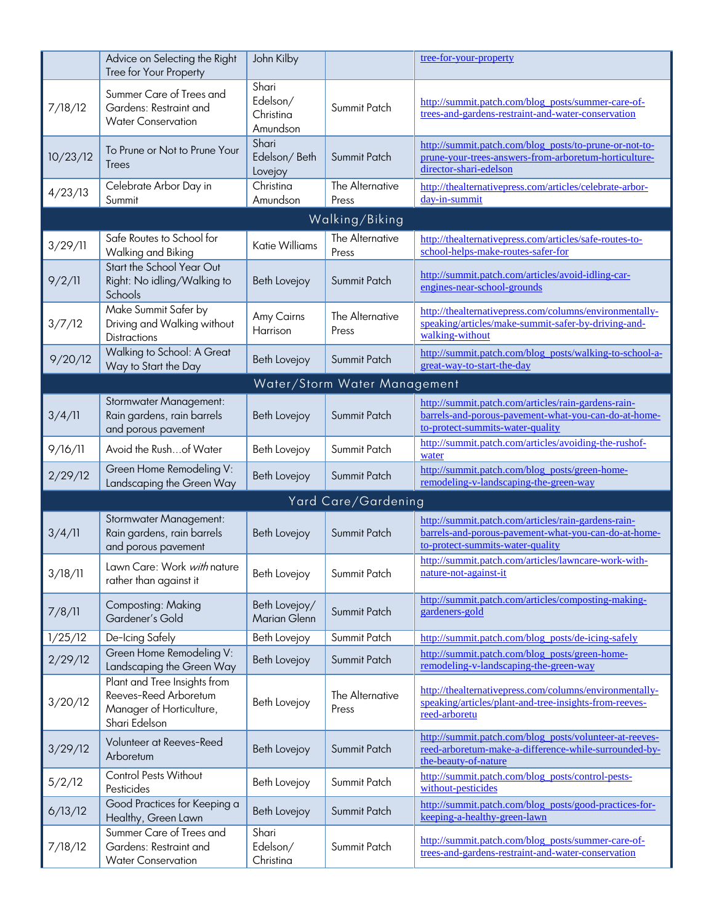|                | Advice on Selecting the Right<br>Tree for Your Property                                            | John Kilby                                 |                              | tree-for-your-property                                                                                                                          |  |  |
|----------------|----------------------------------------------------------------------------------------------------|--------------------------------------------|------------------------------|-------------------------------------------------------------------------------------------------------------------------------------------------|--|--|
| 7/18/12        | Summer Care of Trees and<br>Gardens: Restraint and<br><b>Water Conservation</b>                    | Shari<br>Edelson/<br>Christina<br>Amundson | Summit Patch                 | http://summit.patch.com/blog_posts/summer-care-of-<br>trees-and-gardens-restraint-and-water-conservation                                        |  |  |
| 10/23/12       | To Prune or Not to Prune Your<br>Trees                                                             | Shari<br>Edelson/Beth<br>Lovejoy           | Summit Patch                 | http://summit.patch.com/blog_posts/to-prune-or-not-to-<br>prune-your-trees-answers-from-arboretum-horticulture-<br>director-shari-edelson       |  |  |
| 4/23/13        | Celebrate Arbor Day in<br>Summit                                                                   | Christina<br>Amundson                      | The Alternative<br>Press     | http://thealternativepress.com/articles/celebrate-arbor-<br>day-in-summit                                                                       |  |  |
| Walking/Biking |                                                                                                    |                                            |                              |                                                                                                                                                 |  |  |
| 3/29/11        | Safe Routes to School for<br>Walking and Biking                                                    | <b>Katie Williams</b>                      | The Alternative<br>Press     | http://thealternativepress.com/articles/safe-routes-to-<br>school-helps-make-routes-safer-for                                                   |  |  |
| 9/2/11         | Start the School Year Out<br>Right: No idling/Walking to<br>Schools                                | Beth Lovejoy                               | Summit Patch                 | http://summit.patch.com/articles/avoid-idling-car-<br>engines-near-school-grounds                                                               |  |  |
| 3/7/12         | Make Summit Safer by<br>Driving and Walking without<br><b>Distractions</b>                         | Amy Cairns<br>Harrison                     | The Alternative<br>Press     | http://thealternativepress.com/columns/environmentally-<br>speaking/articles/make-summit-safer-by-driving-and-<br>walking-without               |  |  |
| 9/20/12        | Walking to School: A Great<br>Way to Start the Day                                                 | Beth Lovejoy                               | Summit Patch                 | http://summit.patch.com/blog_posts/walking-to-school-a-<br>great-way-to-start-the-day                                                           |  |  |
|                |                                                                                                    |                                            | Water/Storm Water Management |                                                                                                                                                 |  |  |
| 3/4/11         | <b>Stormwater Management:</b><br>Rain gardens, rain barrels<br>and porous pavement                 | Beth Lovejoy                               | Summit Patch                 | http://summit.patch.com/articles/rain-gardens-rain-<br>barrels-and-porous-pavement-what-you-can-do-at-home-<br>to-protect-summits-water-quality |  |  |
| 9/16/11        | Avoid the Rushof Water                                                                             | Beth Lovejoy                               | Summit Patch                 | http://summit.patch.com/articles/avoiding-the-rushof-<br>water                                                                                  |  |  |
| 2/29/12        | Green Home Remodeling V:<br>Landscaping the Green Way                                              | Beth Lovejoy                               | Summit Patch                 | http://summit.patch.com/blog_posts/green-home-<br>remodeling-v-landscaping-the-green-way                                                        |  |  |
|                |                                                                                                    |                                            | Yard Care/Gardening          |                                                                                                                                                 |  |  |
| 3/4/11         | <b>Stormwater Management:</b><br>Rain gardens, rain barrels<br>and porous pavement                 | Beth Lovejoy                               | Summit Patch                 | http://summit.patch.com/articles/rain-gardens-rain-<br>barrels-and-porous-pavement-what-you-can-do-at-home-<br>to-protect-summits-water-quality |  |  |
| 3/18/11        | Lawn Care: Work with nature<br>rather than against it                                              | Beth Lovejoy                               | Summit Patch                 | http://summit.patch.com/articles/lawncare-work-with-<br>nature-not-against-it                                                                   |  |  |
| 7/8/11         | Composting: Making<br>Gardener's Gold                                                              | Beth Lovejoy/<br>Marian Glenn              | Summit Patch                 | http://summit.patch.com/articles/composting-making-<br>gardeners-gold                                                                           |  |  |
| 1/25/12        | De-Icing Safely                                                                                    | Beth Lovejoy                               | Summit Patch                 | http://summit.patch.com/blog_posts/de-icing-safely                                                                                              |  |  |
| 2/29/12        | Green Home Remodeling V:<br>Landscaping the Green Way                                              | Beth Lovejoy                               | Summit Patch                 | http://summit.patch.com/blog_posts/green-home-<br>remodeling-v-landscaping-the-green-way                                                        |  |  |
| 3/20/12        | Plant and Tree Insights from<br>Reeves-Reed Arboretum<br>Manager of Horticulture,<br>Shari Edelson | Beth Lovejoy                               | The Alternative<br>Press     | http://thealternativepress.com/columns/environmentally-<br>speaking/articles/plant-and-tree-insights-from-reeves-<br>reed-arboretu              |  |  |
| 3/29/12        | Volunteer at Reeves-Reed<br>Arboretum                                                              | Beth Lovejoy                               | Summit Patch                 | http://summit.patch.com/blog_posts/volunteer-at-reeves-<br>reed-arboretum-make-a-difference-while-surrounded-by-<br>the-beauty-of-nature        |  |  |
| 5/2/12         | Control Pests Without<br>Pesticides                                                                | Beth Lovejoy                               | Summit Patch                 | http://summit.patch.com/blog_posts/control-pests-<br>without-pesticides                                                                         |  |  |
| 6/13/12        | Good Practices for Keeping a<br>Healthy, Green Lawn                                                | Beth Lovejoy                               | Summit Patch                 | http://summit.patch.com/blog_posts/good-practices-for-<br>keeping-a-healthy-green-lawn                                                          |  |  |
| 7/18/12        | Summer Care of Trees and<br>Gardens: Restraint and<br><b>Water Conservation</b>                    | Shari<br>Edelson/<br>Christina             | Summit Patch                 | http://summit.patch.com/blog_posts/summer-care-of-<br>trees-and-gardens-restraint-and-water-conservation                                        |  |  |